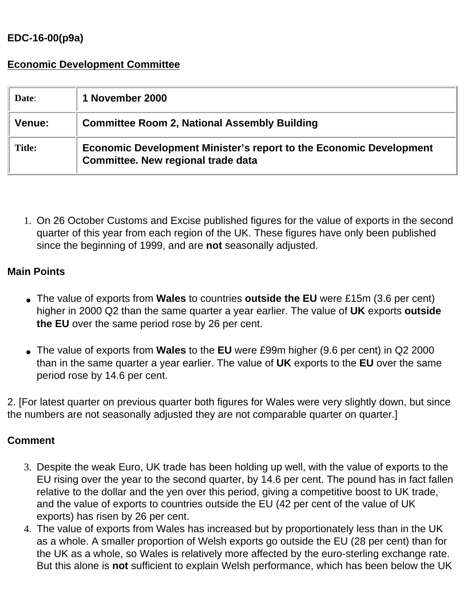## **EDC-16-00(p9a)**

## **Economic Development Committee**

| Date:         | 1 November 2000                                                                                                        |
|---------------|------------------------------------------------------------------------------------------------------------------------|
| <b>Venue:</b> | <b>Committee Room 2, National Assembly Building</b>                                                                    |
| <b>Title:</b> | <b>Economic Development Minister's report to the Economic Development</b><br><b>Committee. New regional trade data</b> |

1. On 26 October Customs and Excise published figures for the value of exports in the second quarter of this year from each region of the UK. These figures have only been published since the beginning of 1999, and are **not** seasonally adjusted.

## **Main Points**

- The value of exports from **Wales** to countries **outside the EU** were £15m (3.6 per cent) higher in 2000 Q2 than the same quarter a year earlier. The value of **UK** exports **outside the EU** over the same period rose by 26 per cent.
- The value of exports from **Wales** to the **EU** were £99m higher (9.6 per cent) in Q2 2000 than in the same quarter a year earlier. The value of **UK** exports to the **EU** over the same period rose by 14.6 per cent.

2. [For latest quarter on previous quarter both figures for Wales were very slightly down, but since the numbers are not seasonally adjusted they are not comparable quarter on quarter.]

## **Comment**

- 3. Despite the weak Euro, UK trade has been holding up well, with the value of exports to the EU rising over the year to the second quarter, by 14.6 per cent. The pound has in fact fallen relative to the dollar and the yen over this period, giving a competitive boost to UK trade, and the value of exports to countries outside the EU (42 per cent of the value of UK exports) has risen by 26 per cent.
- 4. The value of exports from Wales has increased but by proportionately less than in the UK as a whole. A smaller proportion of Welsh exports go outside the EU (28 per cent) than for the UK as a whole, so Wales is relatively more affected by the euro-sterling exchange rate. But this alone is **not** sufficient to explain Welsh performance, which has been below the UK